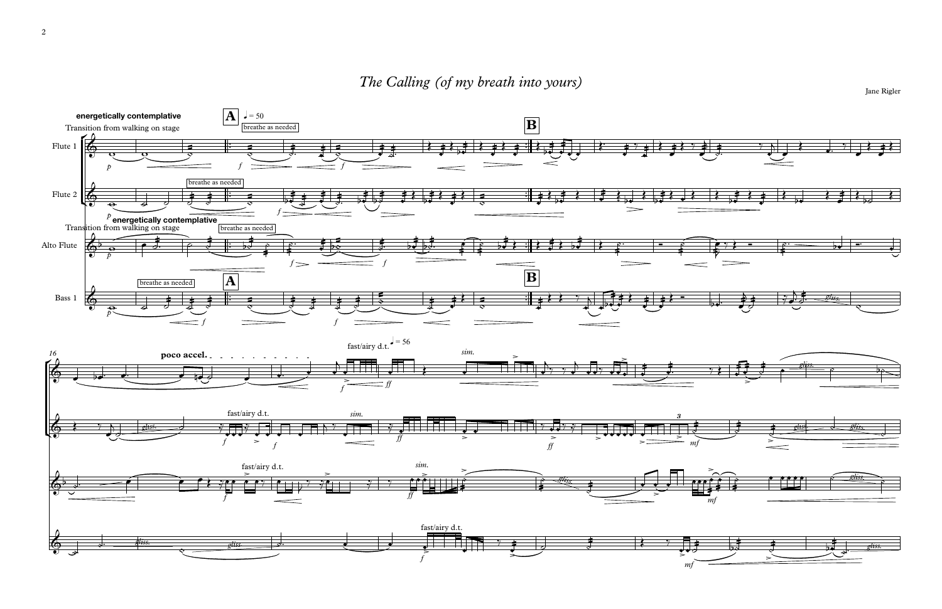## The Calling (of my breath into yours)



Jane Rigler